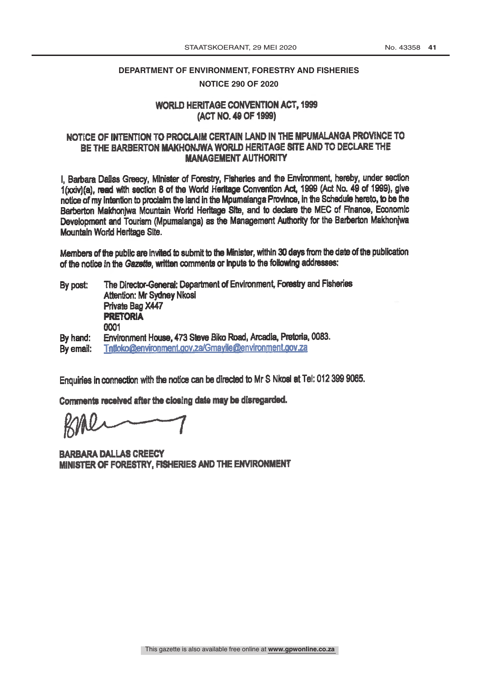## **DEPARTMENT OF ENVIRONMENT, FORESTRY AND FISHERIES NOTICE 290 OF 2020**

## **WORLD HERITAGE CONVENTION ACT, 1999** (ACT NO. 49 OF 1999)

## NOTICE OF INTENTION TO PROCLAIM CERTAIN LAND IN THE MPUMALANGA PROVINCE TO BE THE BARBERTON MAKHONJWA WORLD HERITAGE SITE AND TO DECLARE THE **MANAGEMENT AUTHORITY**

I, Barbara Dallas Greecy, Minister of Forestry, Fisheries and the Environment, hereby, under section 1(rodv)(a), read with section 8 of the World Heritage Convention Act, 1999 (Act No. 49 of 1999), give notice of my intention to proclaim the land in the Mpumalanga Province, in the Schedule hereto, to be the Barberton Makhonjwa Mountain World Heritage Site, and to declare the MEC of Finance, Economic Development and Tourism (Mpumalanga) as the Management Authority for the Barberton Makhonjwa Mountain World Heritage Site.

Members of the public are invited to submit to the Minister, within 30 days from the date of the publication of the notice in the Gazette, written comments or inputs to the following addresses:

By post: The Director- General: Department of Environment, Forestry and Fisheries Attention: Mr Sydney Nkosi Private Bag X447 PRETORIA 0001 Environment House, 473 Steve Biko Road, Arcadia, Pretoria, 0083. By hand: Tnfloko@environment.gov.za/Gmavile@environment.gov.za By email:

Enquiries in connection with the notice can be directed to Mr S Nkosl at Tel: 012 399 9065.

Comments received after the closing date may be disregarded.

BARBARA DALLAS CREECY MINISTER OF FORESTRY, FISHERIES AND THE ENVIRONMENT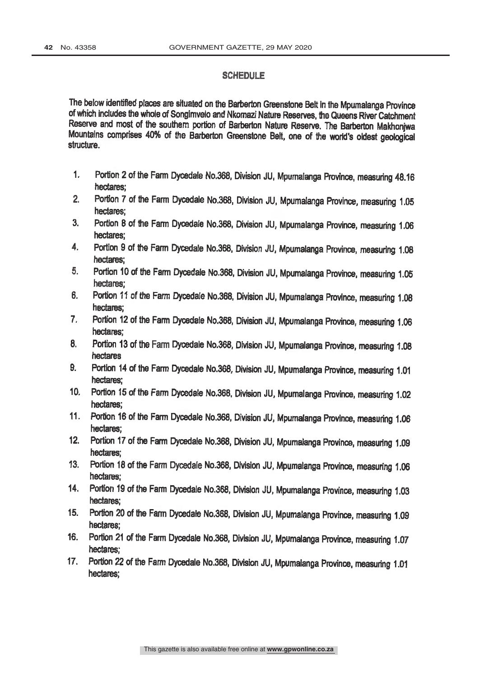## **SCHEDULE**

The below identified places are situated on the Barberton Greenstone Belt in the Mpumalanga Province of which includes the whole of Songimvelo and Nkomazi Nature Reserves, the Queens River Catchment Reserve and most of the southern portion of Barberton Nature Reserve. The Barberton Makhonjwa Mountains comprises 40% of the Barberton Greenstone Belt, one of the world's oldest geological structure.

- 1. Portion 2 of the Farm Dycedale No.368, Division JU, Mpumalanga Province, measuring 48.16 hectares;
- Portion 7 of the Farm Dycedale No.368, Division JU, Mpumalanga Province, measuring 1.05  $2<sub>1</sub>$ hectares;
- 3. Portion B of the Farm Dycedaie No.368, Division JU, Mpumalanga Province, measuring 1.06 hectares;
- 4. Portion 9 of the Farm Dycedale No.368, Division JU, Mpumalanga Province, measuring 1.08 hectares;
- $5.$ Portion 10 of the Farm Dycedale No.368, Division JU, Mpumalanga Province, measuring 1.05 hectares:
- $6.$ Portion 11 of the Farm Dycedale No.368, Division JU, Mpumalanga Province, measuring 1.08 hectares;
- 7. Portion 12 of the Farm Dycedale No.368, Division JU, Mpumalanga Province, measuring 1.06 hectares;
- 8. Portion 13 of the Farm Dycedale No.368, Division JU, Mpumalanga Province, measuring 1.08 hectares
- 9. Portion 14 of the Farm Dycedale No.368, Division JU, Mpumalanga Province, measuring 1.01 hectares;
- 10. Portion 15 of the Farm Dycedale No.368, Division JU, Mpumalanga Province, measuring 1.02 hectares;
- 11. Portion 16 of the Farm Dycedale No.368, Division JU, Mpumalanga Province, measuring 1.06 hectares;
- 12. Portion 17 of the Farm Dycedale No.368, Division JU, Mpumalanga Province, measuring 1.09 hectares;
- 13. Portion 18 of the Farm Dycedale No.368, Division JU, Mpumalanga Province, measuring 1.06 hectares;
- 14. Portion 19 of the Farm Dycedale No.368, Division JU, Mpumalanga Province, measuring 1.03 hectares;
- 15. Portion 20 of the Farm Dycedate No.368, Division JU, Mpumalanga Province, measuring 1.09 hectares;
- 16. Portion 21 of the Farm Dycedale No.368, Division JU, Mpumalanga Province, measuring 1.07 hectares;
- 17. Portion 22 of the Farm Dycedale No.368, Division JU, Mpumalanga Province, measuring 1.01 hectares;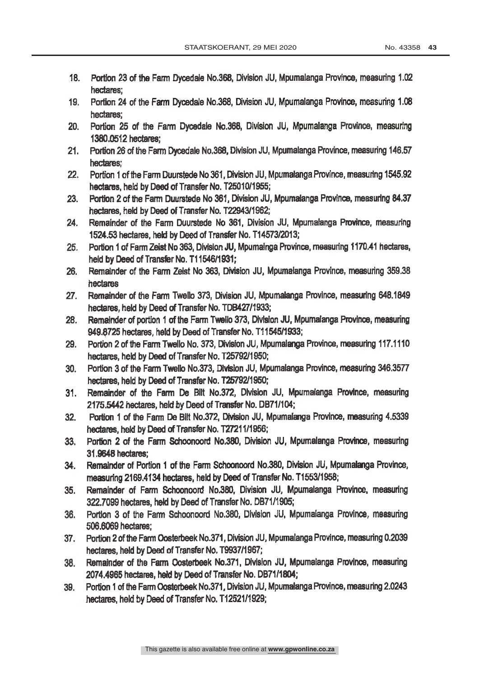- 18. Portion 23 of the Farm Dycedale No.368, Division JU, Mpumalanga Province, measuring 1.02 hectares;
- 19. Portion 24 of the Farm Dycedale No.368, Division JU, Mpumalanga Province, measuring 1.08 hectares;
- 20. Portion 25 of the Farm Dycedale No.368, Division JU, Mpumalanga Province, measuring 1380.0512 hectares;
- 21. Portion 26 of the Farm Dycedale No.368, Division JU, Mpumalanga Province, measuring 146.57 hectares;
- $22.$ Portion 1 of the Farm Duurstede No 361, Division JU, Mournalanga Province, measuring 1545.92 hectares, held by Deed of Transfer No. T25010/1955;
- 23. Portion 2 of the Farm Duurstede No 361, Division JU, Mpumalanga Province, measuring 84.37 hectares, held by Deed of Transfer No. 722943/1962;
- 24. Remainder of the Farm Duurstede No 361, Division JU, Mpumalanga Province, measuring 1524.53 hectares, held by Deed of Transfer No. T14573/2013;
- $25.$ Portion 1 of Farm Zeist No 363, Division JU, Mpumainga Province, measuring 1170.41 hectares, held by Deed of Transfer No. T11546/1931;
- 26. Remainder of the Farm Zeist No 363, Division JU, Mpumalanga Province, hectares
- 27. Remainder of the Farm Twello 373, Division JU, Mpumalanga Province, measuring 648.1849 hectares, held by Deed of Transfer No. TDB427/1933;
- 28. Remainder of portion 1 of the Farm Twello 373, Division JU, Mpumalanga Province, measuring 949.8725 hectares, held by Deed of Transfer No. 711545/1933;
- 29. Portion 2 of the Farra Twello No. 373, Division JU, Mpumalanga Province, measuring 117.1110 hectares, held by Deed of Transfer No. 725792/1950;
- 30. Portion 3 of the Farm Twello No.373, Division JU, Mpumalanga Province, measuring 346.3577 hectares, held by Deed of Transfer No. 725792/1950;
- $31<sub>1</sub>$ Remainder of the Farm De Bill No.372, Division JU, Mpumalanga Province, measuring 2175.5442 hectares, held by Deed of Transfer No. DB71/104;
- 32. Portion 1 of the Farm De Bilt No.372, Division JU, Mpumalanga Province, measuring 4.5339 hectares, held by Deed of Transfer No. T27211/1956;
- 33. Portion 2 of the Farm Schoonoord No.380, Division JU, Mpumalanga Province, measuring 31.9648 hectares;
- Remainder of Portion 1 of the Farm Schooncord No.380, Division JU, Mpumalanga Province, 34. measuring 2169.4134 hectares, held by Deed of Transfer No. T1553/1958;
- Remainder of Farm Schooncord No.380, Division JU, Mpumalanga Province, measuring  $35.$ 322.7099 hectares, held by Deed of Transfer No. DB71/1905;
- Portion 3 of the Farm Schoonoord No.380, Division JU, Mpumalanga Province, measuring  $36.$ 506.6069 hectares;
- 37. Portion 2 of the Farm Oosterbeek No.371, Division JU, Mpumalanga Province, measuring 0.2039 hectares, held by Deed of Transfer No. T9937/1967;
- Remainder of the Farm Oosterbeek No.371, Division JU, Mpumalanga Province, measuring 38. 2074.4965 hectares, held by Deed of Transfer No. DB71/1804;
- 39. Portion 1 of the Farm Oosterbeek No.371. Division JU, Mpumalanga Province, measuring 2.0243 hectares, held by Deed of Transfer No. T12521/1929;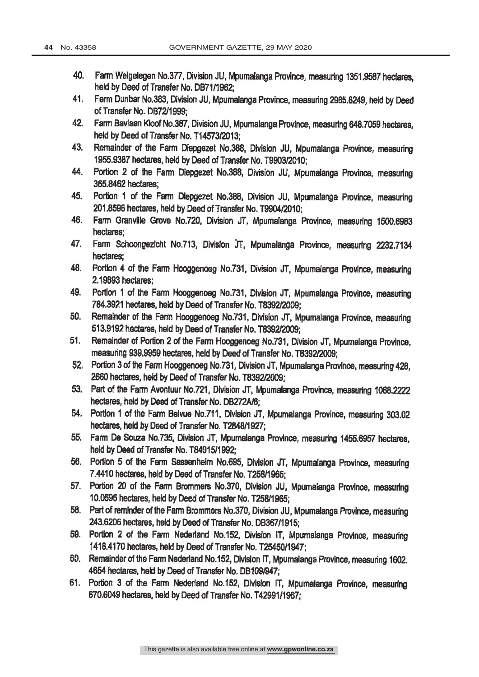- 40. Farm Welgelegen No.377, Division JU, Mpumalanga Province, measuring 1351.9587 hectares, held by Deed of Transfer No. DB71/1962;
- 41. Farm Dunbar No.383, Division JU, Mpumalanga Province, measuring 2965.8249, held by Deed of Transfer No. DB72/1999;
- 42. Farm Baviaan Kloof No.387, Division JU, Mpumalanga Province, measuring 648.7059 hectares, held by Deed of Transfer No. T14573/2013;
- 43. Remainder of the Farm Diepgezet No.388, Division JU, Mpumalanga Province, measuring 1955.9387 hectares, held by Deed of Transfer No. T9903/2010;
- 44. Portion 2 of the Farm Dlepgezet No.388, Division JU, Mpumalanga Province, measuring 365.8462 hectares;
- 45. Portion 1 of the Farm Diepgezet No.388, Division JU, Mpumalanga Province, measuring 201.8596 hectares, held by Deed of Transfer No. T9904/2010;
- 46. Farm Granville Grove No.720, Division JT, Mpumalanga Province, measuring 1500.6983 hectares;
- 47. Farm Schoongezicht No.713, Division .JT, Mpumalanga Province, measuring 2232.7134 hectares;
- 48. Portion 4 of the Farm Hooggenoeg No.731, Division JT, Mpumalanga Province, measuring 2.19893 hectares;
- 49. Portion 1 of the Farm Hooggenoeg No.731, Division JT, Mpumalanga Province, measuring 784.3921 hectares, held by Deed of Transfer No. T8392/2009;
- 50. Remainder of the Farm Hooggenoeg No.731, Division JT, Mpumalanga Province, measuring 513.9192 hectares, held by Deed of Transfer No. T8392/2009;
- 51. Remainder of Portion 2 of the Farm Hooggenoeg No.731, Division JT, Mpumalanga Province, measuring 939.9959 hectares, held by Deed of Transfer No. T8392/2009;
- Portion 3 of the Farm Hooggenoeg No.731, Division JT, Mpumalanga Province, measuring 428, 2660 hectares, held by Deed of Transfer No.18392/2009;
- 53. Part of the Farm Avontuur No.721, Division JT, Mpumalanga Province, measuring 1068.2222 hectares, held by Deed of Transfer No. DB272A/6;
- 54. Portion 1 of the Farm Betvue No.711, Division JT, Mpumalanga Province, measuring 303.02 hectares, held by Deed of Transfer No. T2848/1927;
- 55. Farm De Souza No.735, Division JT, Mpumalanga Province, measuring 1455.6957 hectares, held by Deed of Transfer No. T84915/1992;
- 56. Portion 5 of the Farm Sassen heim No.695, Division JT, Mpumalanga Province, measuring 7.4410 hectares, held by Deed of Transfer No. T258/1965;
- 57. Portion 20 of the Farm Brommers No.370, Division JU, Mpumalanga Province, measuring 10.0595 hectares, held by Deed of Transfer No. T258/1965;
- 58. Part of reminder of the Farm Brommers No.370, Division JU, Mpumalanga Province, measuring 243.6206 hectares, held by Deed of Transfer No. DB367/1915;
- 59. Portion 2 of the Farm Nederland No.152, Division IT, Mpumalanga Province, measuring 1418.4170 hectares, held by Deed of Transfer No. T25450/1947;
- 60. Remainder of the Farm Nederland No.152, Division IT, Mpumalanga Province, measuring 1602. 4654 hectares, held by Deed of Transfer No. DB109/947;
- 61. Portion 3 of the Farm Nederland No.152, Division IT, Mpumalanga Province, measuring 670.6049 hectares, held by Deed of Transfer No. T42991/1967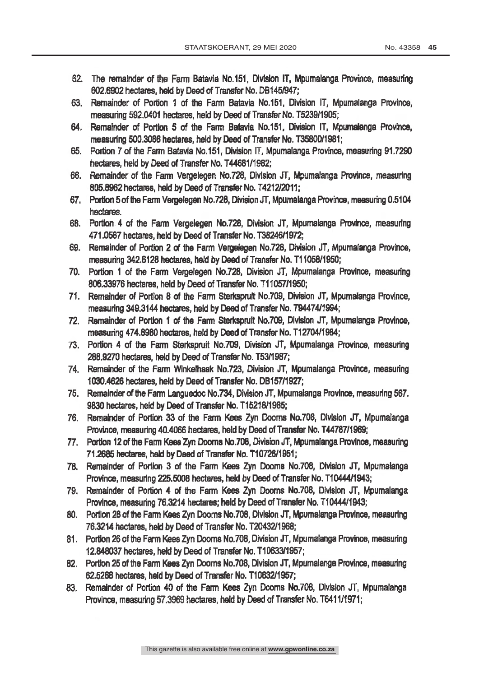- 62. The remainder of the Farm Batavia No.151. Division IT. Moumalanga Province, measuring 602.6902 hectares, held by Deed of Transfer No. DB145/947;
- 63. Remainder of Portion 1 of the Farm Batavia No.151, Division IT, Mpumalanga Province, measuring 592.0401 hectares, held by Deed of Transfer No. T523911905;
- 64. Remainder of Portion 5 of the Farm Batavia No.151, Division IT, Mpumalanga Province, measuring 500.3086 hectares, held by Deed of Transfer No. T35800/1981;
- 65. Portion 7 of the Fenn Batavia No 151, Division IT, Mpumalanga Province, measuring 91.7290 hectares, held by Deed of Transfer No. T44681/1982;
- 66. Remainder of the Farm Vergelegen No.728, Division JT, Mpumalanga Province, measuring 805.8962 hectares, held by Deed of Transfer No. T4212/2011;
- 67. Portion 5 of the Farm Vergelegen No.728, Division JT, Mpumalanga Province, measuring 0.5104 hectares.
- 68. Portion .4 of the Farm Vergelegen No.728, Division JT, Mpumalanga Province, measuring 471.0587 hectares, held by Deed of Transfer No. T38246/1972;
- 69. Remainder of Portion 2 of the Farm Vergelegen No.728, Division JT, Mpumalanga Province, measuring 342.6128 hectares, held by Deed of Transfer No. T11058/1950;
- 70. Portion 1 of the Farm Vergelegen No.728, Division JT, Mpumalanga Province, measuring 806.33976 hectares, held by Deed of Transfer No. T11057/1950;
- 71. Remainder of Portion 8 of the Farm Sterkspruit No.709, Division JT, Mpumalanga Province, measuring 349.3144 hectares, held by Deed of Transfer No. T94474/1994;
- 72. Remainder of Portion 1 of the Farm Sterkspruit No.709, Division JT, Mpumalanga Province, measuring 474.8980 hectares, held by Deed of Transfer No. T12704/1984;
- 73. Portion 4 of the Farm Sterkspruit No.709, Division JT, Mpumalanga Province, measuring 288.9270 hectares, held by Deed of Transfer No. T53/1987;
- Remainder of the Farm Winkelhaak No.723, Division JT, Mpumalanga Province, measuring 1030.4626 hectares, held by Deed of Transfer No. DB157/1927;
- 75. Remainder of the Farm Languedoc No.734, Division JT, Mpumalanga Province, measuring 567. 9830 hectares, held by Deed of Transfer No. T15218/1985;
- 76. Remainder of Portion 33 of the Farm Kees Zyn Doorns No.708, Division JT, Mpumalanga Province, measuring 40.4066 hectares, held by Deed of Transfer No. 144787/1969;
- 77. Portion 12 of the Farm Kees Zyn Dooms No.708, Division JT, Mpumalanga Province, measuring 71.2685 hectares, held by Deed of Transfer No. T10726/1951;
- 78. Remainder of Portion 3 of the Farm Kees Zyn Dooms No.708, Division JT, Mpumalanga Province, measuring 225.5008 hectares, held by Deed of Transfer No. T10444/1943;
- 79. Remainder of Portion 4 of the Farm Kees Zyn Dooms No.708, Division JT, Mpumalanga Province, measuring 76,3214 hectares; held by Deed of Transfer No. T10444/1943;
- 80. Portion 28 of the Farm Kees Zyn Dooms No.708, Division JT, Mpumalanga Province, measuring 76.3214 hectares, held by Deed of Transfer No. T20432/1968;
- 81. Portion 26 of the Farm Kees Zyn Dooms No.708, Division JT, Mpumalanga Province, measuring 12.848037 hectares, held by Deed of Transfer No. T1063311957;
- 82. Portion 25 of the Farm Kees Zyn Dooms No.708, Division JT, Mpumalanga Province, measuring 62.5268 hectares, held by Deed of Transfer No. T10632/1957;
- 83. Remainder of Portion 40 of the Farm Kees Zyn Doorns No.708, Division JT, Mpumalanga Province, measuring 57.3969 hectares, held by Deed of Transfer No. T6411/1971;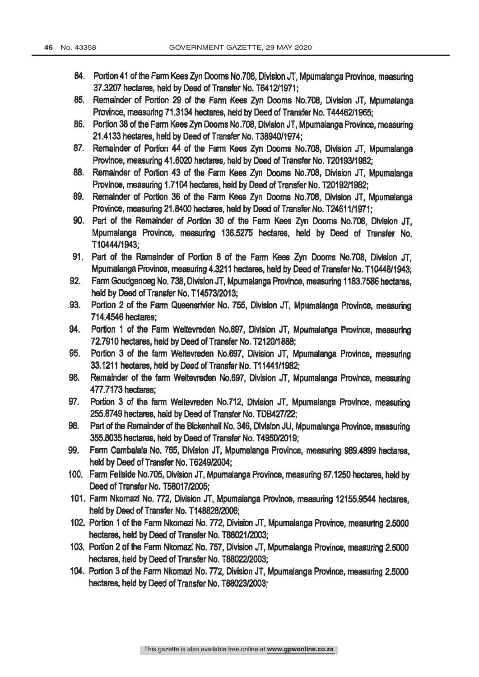- 84. Portion 41 of the Farm Kees Zyn Dooms No.708, Division JT, Mpumalanga Province, measuring 37.3207 hectares, held by Deed of Transfer No. T6412/1971;
- 85. Remainder of Portion 29 of the Farm Kees Zyn Dooms No.708, Division JT, Mpumalanga Province, measuring 71.3134 hectares, held by Deed of Transfer No. T44462/1965;
- 86. Portion 38 of the Farm Kees Zyn Dooms No.708, Division JT, Mpumalanga Province, measuring 21.4133 hectares, held by Deed of Transfer No. T38940/1974;
- 87. Remainder of Portion 44 of the Farm Kees Zyn Dooms No.708, Division JT, Mpumalanga Province, measuring 41.6020 hectares, held by Deed of Transfer No. T20193/1982;
- 88. Remainder of Portion 43 of the Farm Kees Zyn Dooms No.708, Division JT, Mpumalanga Province, measuring 1.7104 hectares, held by Deed of Transfer No. T20192/1982;
- 89. Remainder of Portion 36 of the Farm Kees Zyn Dooms No.708, Division JT, Mpumalanga Province, measuring 21.8400 hectares, held by Deed of Transfer No. T24611/1971;
- Part of the Remainder of Portion 30 of the Farm Kees Zyn Dooms No.708, Division JT, Mpumalanga Province, measuring 136.5275 hectares, held by Deed of Transfer No. T10444/1943;
- 91. Part of the Remainder of Portion 8 of the Farm Kees Zyn Dooms No.708, Division JT, Mpumalanga Province, measuring 4.3211 hectares, held by Deed of Transfer No. T10448/1943;
- 92. Farm Goudgenoeg No. 738, Division JT, Mpumalanga Province, measuring 1183.7586 hectares, held by Deed of Transfer No. T14573/2013;
- 93. Portion 2 of the Farm Queensrivíer No. 755, Division JT, Mpumalanga Province, measuring 714.4546 hectares;
- 94. Portion 1 of the Farm Weltevreden No.697, Division JT, Mpumalanga Province, measuring 72.7910 hectares, held by Deed of Transfer No. T2120/1888;
- $95.$ Portion 3 of the farm Weltevreden No,697, Division JT, Mpumalanga Province, measuring 33.1211 hectares, held by Deed of Transfer No. T11441/1982;
- 96. Remainder of the farm Weltevreden No.697, Division JT, Mpumalanga Province, measuring 477.7173 hectares;
- 97. Portion 3 of the farm Weltevreden No.712, Division JT, Mpumalanga Province, measuring 255.8749 hectares, held by Deed of Transfer No. TDB427122;
- 98. Part of the Remainder of the Bickenhall No. 346, Division JU, Mpumalanga Province, measuring 355.8035 hectares, held by Deed of Transfer No. 74950/2019;
- 99. Farm Cambalala No. 765, Division JT, Mpumalanga Province, measuring 989.4899 hectares, held by Deed of Transfer No. T6249/2004;
- 100. Farm Fellside No.705, Division JT, Mpumalanga Province, measuring 67.1250 hectares, held by Deed of Transfer No. T58017/2005;
- 101. Farm Nkomazi No. 772, Division JT, Mpumalanga Province, measuring 12155.9544 hectares, held by Deed of Transfer No. T148828/2006;
- 102. Portion 1 of the Farm Nkomazi No. 772, Division JT, Mpumalanga Province, measuring 2.5000 hectares, held by Deed of Transfer No. T88021/2003;
- 103. Portion 2 of the Farm Nkomazi No. 757, Division Jr, Mpumalanga Province, measuring 2.5000 hectares, held by Deed of Transfer No. 788022/2003;
- 104. Portion 3 of the Farm Nkomazi No. 772, Division JT, Mpumalanga Province, measuring 2.5000 hectares, held by Deed of Transfer No. T88023/2003;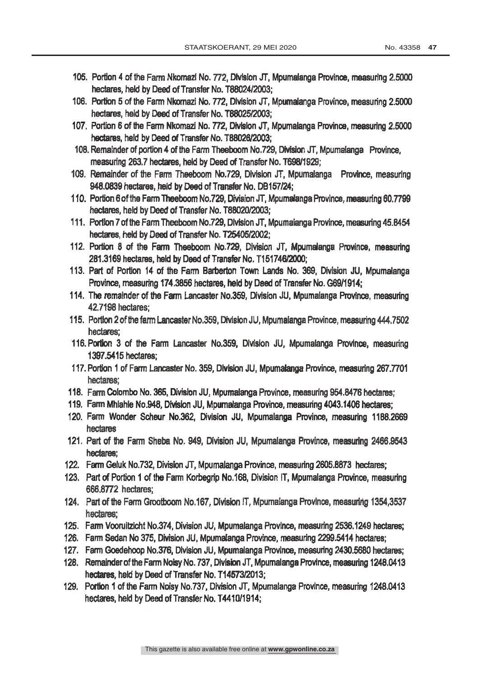- 105. Portion 4 of the Farm Nkomazi No. 772, Division JT, Mpumalanga Province, measuring 2.5000 hectares, held by Deed of Transfer No. T88024/2003;
- 106. Portion 5 of the Farm Nkomazi No. 772, Division JT, Mpumalanga Province, measuring 2.5000 hectares, held by Deed of Transfer No. T8802512003;
- 107. Portion 6 of the Farm Nkomazi No. 772, Division JT, Mpumalanga Province, measuring 2.5000 hectares, held by Deed of Transfer No. T88026/2003;
- 108. Remainder of portion 4 of the Farm Theeboom No.729, Division JT, Mpumalanga Province, measuring 263.7 hectares, held by Deed of Transfer No. T698/1929;
- 109. Remainder of the Farm Theeboom No.729, Division JT, Mpumalanga Province, measuring 948.0839 hectares, held by Deed of Transfer No. DB 157!24;
- Portion 6 of the Farm Theeboom No.729, Division JT, Mpumalanga Province, measuring 60.7799 hectares, held by Deed of Transfer No. T88020í2003;
- 111. Portion 7 of the Farm Theeboom No.729, Division JT, Mpumalanga Province, measuring 45.8454 hectares, held by Deed of Transfer No. T25405/2002:
- 112. Portion 8 of the Farm Theeboom No.729, Division JT, Mpumalanga Province, measuring 281.3169 hectares, held by Dead of Transfer No. T15174612000;
- 113. Part of Portion 14 of the Farm Barberton Town Lands No. 369, Division JU, Mpumalanga Province, measuring 174.3856 hectares, held by Deed of Transfer No. G69/1914;
- 114. The remainder of the Farm Lancaster No.359, Division JU, Mpumalanga Province, measuring 42.7198 hectares:
- 115. Portion 2 of the farm Lancaster No.359, Division JU, Mpumalanga Province, measuring 444,7502 hectares:
- 116. Portion 3 of the Farm Lancaster No.359, Division JU, Mpumalanga Province, measuring 1397.5415 hectares;
- 117. Portion 1 of Farm Lancaster No. 359, Division JU, Mpumalanga Province, measuring 267.7701
- ncollace;<br>3. Farm Colombo No. 365, Division JU, Mpumalanga<br>3. Farm Mhiable No 948, Dhésion JU, Mpumalanga I
- 948, Division JU, Mpumalanga Province, measuring 4043.1406 hectar
- o. Farm Colombo No. 365, Division JU, Mpumalanga Province, measuring 334.6476 nectares;<br>9. Farm Mhlahle No.948, Division JU, Mpumalanga Province, measuring 4043.1406 hectares;<br>0. Farm Wonder Scheur No.362, Division JU, Mpu hectares
- 121. Part of the Farm Sheba No. 949, Division JU, Mpumalanga Province, measuring 2466.9543 hectares;
- 122. Farm Geluk No.732, Division JT, Mpumalanga Province, measuring 2605.8873 hectares;
- 123. Part of Portion 1 of the Farm Korbegrip No.168, Division IT, Mpumalanga Province, measuring 666,8772 hectares:
- 124. Part of the Farm Grootboom No.167, Division IT, Mpurnalanga Province, measuring 1354,3537 hectares:
- 125. Farm Vooruitaichf No.374, Division JU, Mpumalanga Province, measuring 2536.1249 hectares;
- 126. Fenn Sedan No 375, Division JU, Mpumalanga Province, measuring 2299.5414 hectares;
- 127. Farm Goedehoop No.376, Division JU, Mpumalanga Province, measuring 2430.5680 hectares;
- 128. Remainder of the Farm Noisy No. 737, Division JT, Mpumalanga Province, measuring 1248.0413 hectares, held by Deed of Transfer No. T1457312013;
- 129. Portion 1 of the Farm Noisy No.737, Division JT, Moumalanga Province, measuring 1248.0413 hectares, held by Deed of Transfer No. T4410/1914;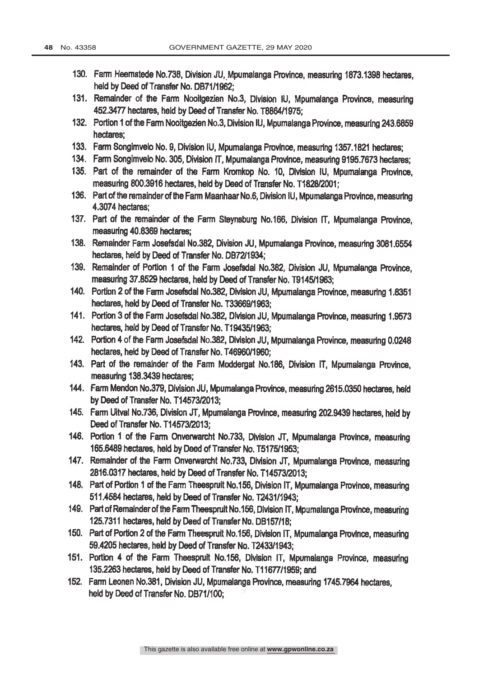- 130. Farm Heemstede No.738, Division JU, Mpumalanga Province, measuring 1873.1398 hectares, held by Deed of Transfer No, DB71/1962;
- 131. Remainder of the Farm Nooitgezien No.3, Division IU, Mpumalanga Province, measuring 452.3477 hectares, held by Deed of Transfer No. T8864/1975;
- 132. Portion 1 of the Farm Nooitgezien No.3, Division IU, Mpumalanga Province, measuring 243.6859 hectares;
- 133. Farm Songimvelo No. 9, Division lU, Mpumalanga Province, measuring 1357.1821 hectares;
- 134. Farm Songimvelo No. 305, Division IT, Mpumalanga Province, measuring 9195.7673 hectares;
- 135. Part of the remainder of the Farm Kromkop No. 10, Division IU, Mpumalanga Province, measuring 800.3916 hectares, held by Deed of Transfer No. T1828/2001;
- 136. Part of the remainder of the Farm Maanhaar No.6, Division IU, Mpumalanga Province, measuring 4.3074 hectares;
- 137. Part of the remainder of the Farm Steynsburg No.166, Division IT, Mpumalanga Province, measuring 40.8369 hectares;
- 138. Remainder Farm Josefsdal No.382, Division JU, Mpumalanga Province, measuring 3081.6554 hectares, held by Deed of Transfer No. DB72/1934;
- 139. Remainder of Portion 1 of the Farm Josefsdal No.382, Division JU, Mpumalanga Province, measuring 37.8529 hectares, held by Deed of Transfer No. T9145/1963;
- 140. Portion 2 of the Farm Josefsdal No.382, Division JU, Mpumalanga Province, measuring 1.8351 hectares, held by Deed of Transfer No. T33669/1963;
- 141. Portion 3 of the Farm Josefsdal No.382, Division JU, Mpumalanga Province, measuring 1.9573 hectares, held by Deed of Transfer No. T19435/1963;
- 142. Portion 4 of the Farm Josefsdal No.382, Division JU, Mpumalanga Province, measuring 0.0248 hectares, held by Deed of Transfer No. T46960/1960;
- 143. Part of the remainder of the Farm Moddergat No.186, Division IT, Mpumalanga Province, measuring 138.3439 hectares;
- 144. Farm Mendon No,379, Division JU, Mpumalanga Province, measuring 2615.0350 hectares, held by Deed of Transfer No. T14573/2013;
- 145. Farm Uitval No.736, Division JT, Mpumalanga Province, measuring 202.9439 hectares, Deed of Transfer No. T14573/2013;
- 146. Portion 1 of the Farm Onverwarcht No.733, Division JT, Mpumalanga Province, measuring 165.6489 hectares, held by Deed of Transfer No, T5175/1953;
- 147. Remainder of the Farm Onverwarcht No.733, Division JT, Mpumalanga Province, measuring 2816.0317 hectares, held by Deed of Transfer No. 714573/2013;
- 148. Part of Portion 1 of the Farm Theespruit No,156, Division IT, Mpumalanga Province, measuring 511.4584 hectares, held by Deed of Transfer No. T2431/1943;
- 149. Part of Remainder of the Farm Theespruit No.156, Division IT, Mpumalanga Province, measuring 125.7311 hectares, held by Deed of Transfer No. DB157/18;
- 150. Part of Portion 2 of the Farm Theespruit No.156, Division IT, Mpumalanga Province, measuring 59.4205 hectares, held by Deed of Transfer No. T2433/1943;
- 151. Portion 4 of the Farm Theespruit No.156, Division IT, Mpumalanga Province, measuring 135.2263 hectares, held by Deed of Transfer No. T11677/1959; and
- 152. Farm Leonen No.381, Division JU, Mpumalanga Province, measuring 1745.7964 hectares, held by Deed of Transfer No. DB71/100: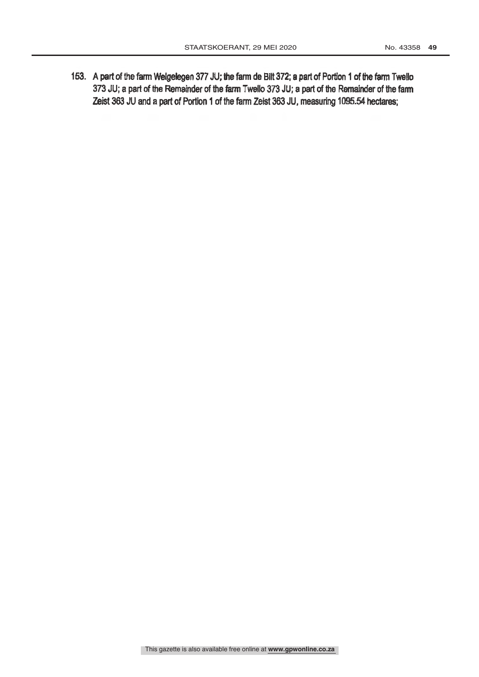153. A part of the farm Welgelegen 377 JU; the farm de Blit 372; a part of Portion 1 of the farm Twello 373 JU; a part of the Remainder of the farm Twello 373 JU; a part of the Remainder of the farm Zeist 363 JU and a part of Portion 1 of the farm Zeist 363 JU, measuring 1095.54 hectares;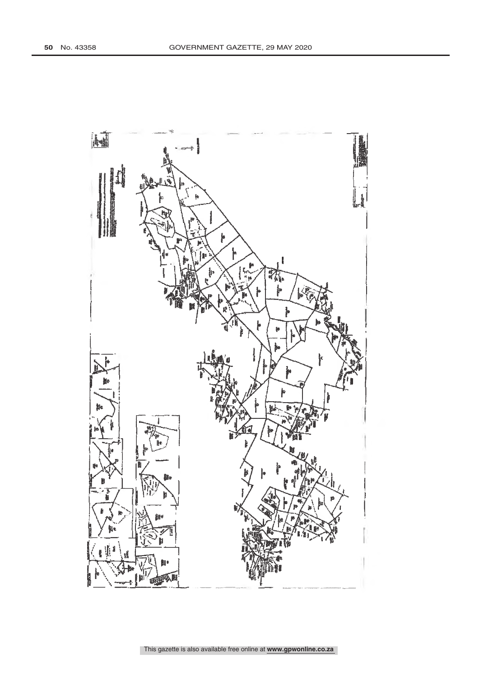